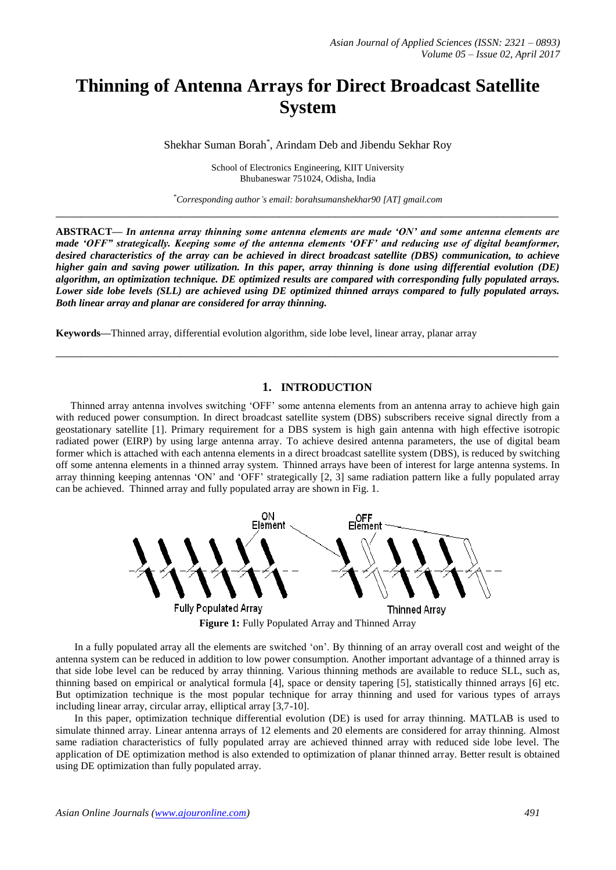# **Thinning of Antenna Arrays for Direct Broadcast Satellite System**

Shekhar Suman Borah\* , Arindam Deb and Jibendu Sekhar Roy

School of Electronics Engineering, KIIT University Bhubaneswar 751024, Odisha, India

*\*Corresponding author's email: borahsumanshekhar90 [AT] gmail.com* **\_\_\_\_\_\_\_\_\_\_\_\_\_\_\_\_\_\_\_\_\_\_\_\_\_\_\_\_\_\_\_\_\_\_\_\_\_\_\_\_\_\_\_\_\_\_\_\_\_\_\_\_\_\_\_\_\_\_\_\_\_\_\_\_\_\_\_\_\_\_\_\_\_\_\_\_\_\_\_\_\_**

**ABSTRACT—** *In antenna array thinning some antenna elements are made 'ON' and some antenna elements are made 'OFF" strategically. Keeping some of the antenna elements 'OFF' and reducing use of digital beamformer, desired characteristics of the array can be achieved in direct broadcast satellite (DBS) communication, to achieve higher gain and saving power utilization. In this paper, array thinning is done using differential evolution (DE) algorithm, an optimization technique. DE optimized results are compared with corresponding fully populated arrays. Lower side lobe levels (SLL) are achieved using DE optimized thinned arrays compared to fully populated arrays. Both linear array and planar are considered for array thinning.*

**Keywords—**Thinned array, differential evolution algorithm, side lobe level, linear array, planar array

### **1. INTRODUCTION**

**\_\_\_\_\_\_\_\_\_\_\_\_\_\_\_\_\_\_\_\_\_\_\_\_\_\_\_\_\_\_\_\_\_\_\_\_\_\_\_\_\_\_\_\_\_\_\_\_\_\_\_\_\_\_\_\_\_\_\_\_\_\_\_\_\_\_\_\_\_\_\_\_\_\_\_\_\_\_\_\_\_**

Thinned array antenna involves switching 'OFF' some antenna elements from an antenna array to achieve high gain with reduced power consumption. In direct broadcast satellite system (DBS) subscribers receive signal directly from a geostationary satellite [1]. Primary requirement for a DBS system is high gain antenna with high effective isotropic radiated power (EIRP) by using large antenna array. To achieve desired antenna parameters, the use of digital beam former which is attached with each antenna elements in a direct broadcast satellite system (DBS), is reduced by switching off some antenna elements in a thinned array system. Thinned arrays have been of interest for large antenna systems. In array thinning keeping antennas 'ON' and 'OFF' strategically [2, 3] same radiation pattern like a fully populated array can be achieved. Thinned array and fully populated array are shown in Fig. 1.



In a fully populated array all the elements are switched 'on'. By thinning of an array overall cost and weight of the antenna system can be reduced in addition to low power consumption. Another important advantage of a thinned array is that side lobe level can be reduced by array thinning. Various thinning methods are available to reduce SLL, such as, thinning based on empirical or analytical formula [4], space or density tapering [5], statistically thinned arrays [6] etc. But optimization technique is the most popular technique for array thinning and used for various types of arrays including linear array, circular array, elliptical array [3,7-10].

In this paper, optimization technique differential evolution (DE) is used for array thinning. MATLAB is used to simulate thinned array. Linear antenna arrays of 12 elements and 20 elements are considered for array thinning. Almost same radiation characteristics of fully populated array are achieved thinned array with reduced side lobe level. The application of DE optimization method is also extended to optimization of planar thinned array. Better result is obtained using DE optimization than fully populated array.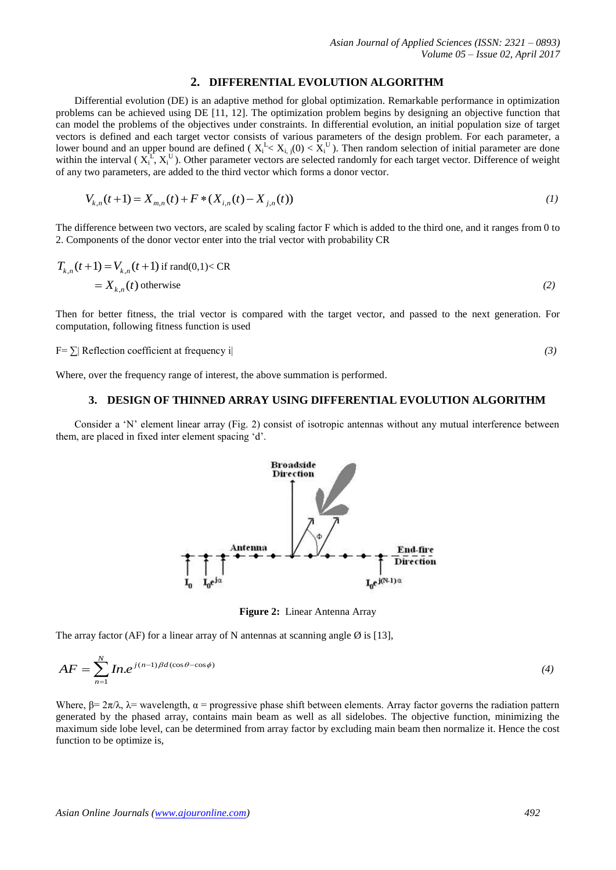#### **2. DIFFERENTIAL EVOLUTION ALGORITHM**

Differential evolution (DE) is an adaptive method for global optimization. Remarkable performance in optimization problems can be achieved using DE [11, 12]. The optimization problem begins by designing an objective function that can model the problems of the objectives under constraints. In differential evolution, an initial population size of target vectors is defined and each target vector consists of various parameters of the design problem. For each parameter, a lower bound and an upper bound are defined ( $X_i^L < X_{i,j}(0) < X_i^U$ ). Then random selection of initial parameter are done within the interval ( $X_i^L, X_i^U$ ). Other parameter vectors are selected randomly for each target vector. Difference of weight of any two parameters, are added to the third vector which forms a donor vector.

two parameters, are added to the third vector which forms a donor vector.  

$$
V_{k,n}(t+1) = X_{m,n}(t) + F * (X_{i,n}(t) - X_{j,n}(t))
$$
(1)

The difference between two vectors, are scaled by scaling factor F which is added to the third one, and it ranges from 0 to 2. Components of the donor vector enter into the trial vector with probability CR

$$
T_{k,n}(t+1) = V_{k,n}(t+1)
$$
 if  $\text{rand}(0,1) < CR$   
=  $X_{k,n}(t)$  otherwise (2)

Then for better fitness, the trial vector is compared with the target vector, and passed to the next generation. For computation, following fitness function is used

 $F = \sum R$  Reflection coefficient at frequency i *(3)*

Where, over the frequency range of interest, the above summation is performed.

#### **3. DESIGN OF THINNED ARRAY USING DIFFERENTIAL EVOLUTION ALGORITHM**

Consider a 'N' element linear array (Fig. 2) consist of isotropic antennas without any mutual interference between them, are placed in fixed inter element spacing 'd'.



**Figure 2:** Linear Antenna Array

The array factor (AF) for a linear array of N antennas at scanning angle  $\emptyset$  is [13],

$$
AF = \sum_{n=1}^{N} In.e^{j(n-1)\beta d(\cos\theta - \cos\phi)}
$$
\n(4)

Where,  $\beta = 2\pi/\lambda$ ,  $\lambda$  = wavelength,  $\alpha$  = progressive phase shift between elements. Array factor governs the radiation pattern generated by the phased array, contains main beam as well as all sidelobes. The objective function, minimizing the maximum side lobe level, can be determined from array factor by excluding main beam then normalize it. Hence the cost function to be optimize is,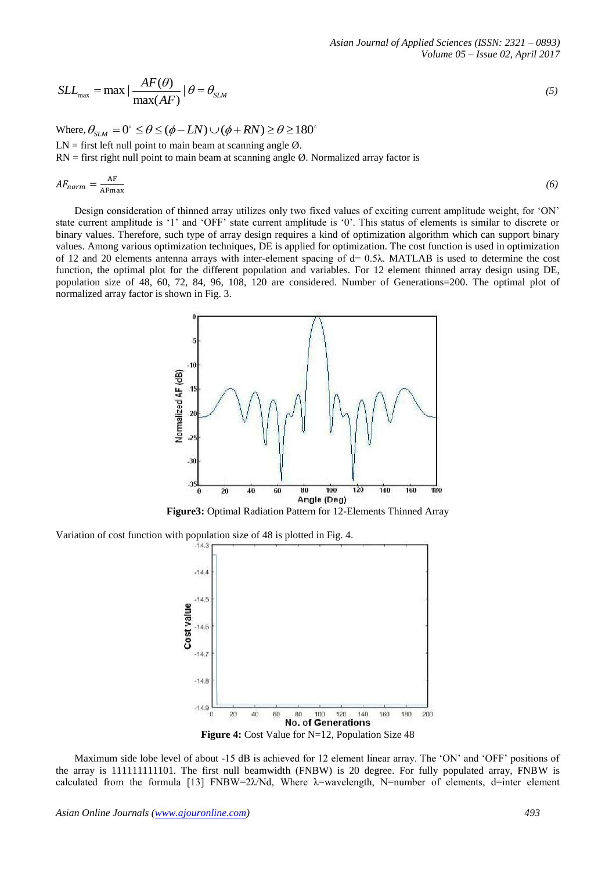$$
SLL_{\text{max}} = \max |\frac{AF(\theta)}{\max(AF)}| \theta = \theta_{SLM}
$$
\n(5)

Where,  $\theta_{SLM} = 0^\circ \le \theta \le (\phi - LN) \cup (\phi + RN) \ge \theta \ge 180^\circ$  $LN =$  first left null point to main beam at scanning angle  $\varnothing$ .  $RN =$  first right null point to main beam at scanning angle  $Ø$ . Normalized array factor is

$$
AF_{norm} = \frac{AF}{AFmax} \tag{6}
$$

Design consideration of thinned array utilizes only two fixed values of exciting current amplitude weight, for 'ON' state current amplitude is '1' and 'OFF' state current amplitude is '0'. This status of elements is similar to discrete or binary values. Therefore, such type of array design requires a kind of optimization algorithm which can support binary values. Among various optimization techniques, DE is applied for optimization. The cost function is used in optimization of 12 and 20 elements antenna arrays with inter-element spacing of  $d = 0.5\lambda$ . MATLAB is used to determine the cost function, the optimal plot for the different population and variables. For 12 element thinned array design using DE, population size of 48, 60, 72, 84, 96, 108, 120 are considered. Number of Generations=200. The optimal plot of normalized array factor is shown in Fig. 3.



**Figure3:** Optimal Radiation Pattern for 12-Elements Thinned Array

Variation of cost function with population size of 48 is plotted in Fig. 4.



Maximum side lobe level of about -15 dB is achieved for 12 element linear array. The 'ON' and 'OFF' positions of the array is 111111111101. The first null beamwidth (FNBW) is 20 degree. For fully populated array, FNBW is calculated from the formula [13] FNBW=2 $\lambda$ Nd, Where  $\lambda$ =wavelength, N=number of elements, d=inter element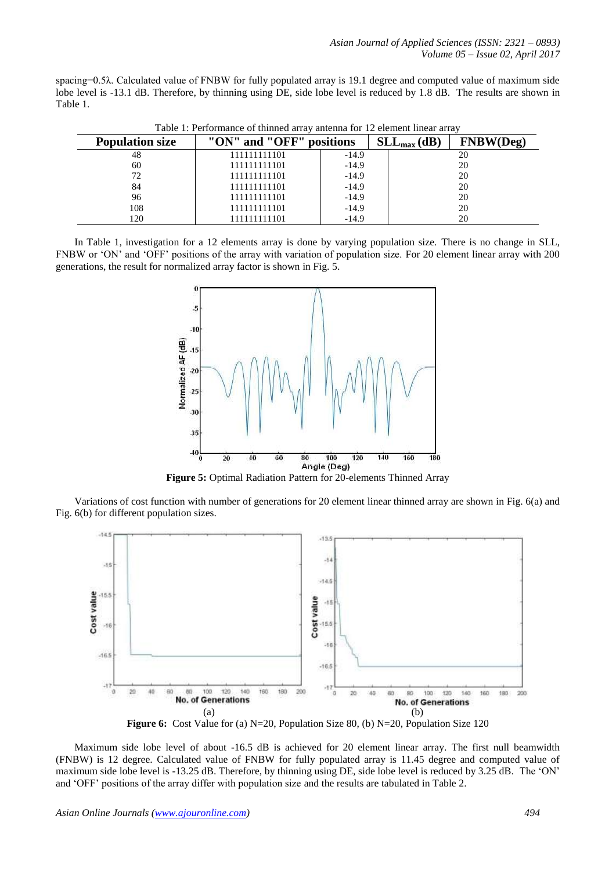spacing=0.5λ. Calculated value of FNBW for fully populated array is 19.1 degree and computed value of maximum side lobe level is -13.1 dB. Therefore, by thinning using DE, side lobe level is reduced by 1.8 dB. The results are shown in Table 1.

| <b>Population size</b> | "ON" and "OFF" | positions | $SLL_{max}(dB)$ | Deø) |
|------------------------|----------------|-----------|-----------------|------|
| 48                     | 111111111101   | $-14.9$   |                 | 20   |
| 60                     | 111111111101   | $-14.9$   |                 | 20   |
| 72                     | 111111111101   | $-14.9$   |                 | 20   |
| 84                     | 111111111101   | $-14.9$   |                 | 20   |
| 96                     | 111111111101   | $-14.9$   |                 | 20   |
| 108                    | 111111111101   | $-14.9$   |                 | 20   |
| 120                    | 111111111101   | $-14.9$   |                 | 20   |

Table 1: Performance of thinned array antenna for 12 element linear array

In Table 1, investigation for a 12 elements array is done by varying population size. There is no change in SLL, FNBW or 'ON' and 'OFF' positions of the array with variation of population size. For 20 element linear array with 200 generations, the result for normalized array factor is shown in Fig. 5.



**Figure 5:** Optimal Radiation Pattern for 20-elements Thinned Array

Variations of cost function with number of generations for 20 element linear thinned array are shown in Fig. 6(a) and Fig. 6(b) for different population sizes.



**Figure 6:** Cost Value for (a) N=20, Population Size 80, (b) N=20, Population Size 120

Maximum side lobe level of about -16.5 dB is achieved for 20 element linear array. The first null beamwidth (FNBW) is 12 degree. Calculated value of FNBW for fully populated array is 11.45 degree and computed value of maximum side lobe level is -13.25 dB. Therefore, by thinning using DE, side lobe level is reduced by 3.25 dB. The 'ON' and 'OFF' positions of the array differ with population size and the results are tabulated in Table 2.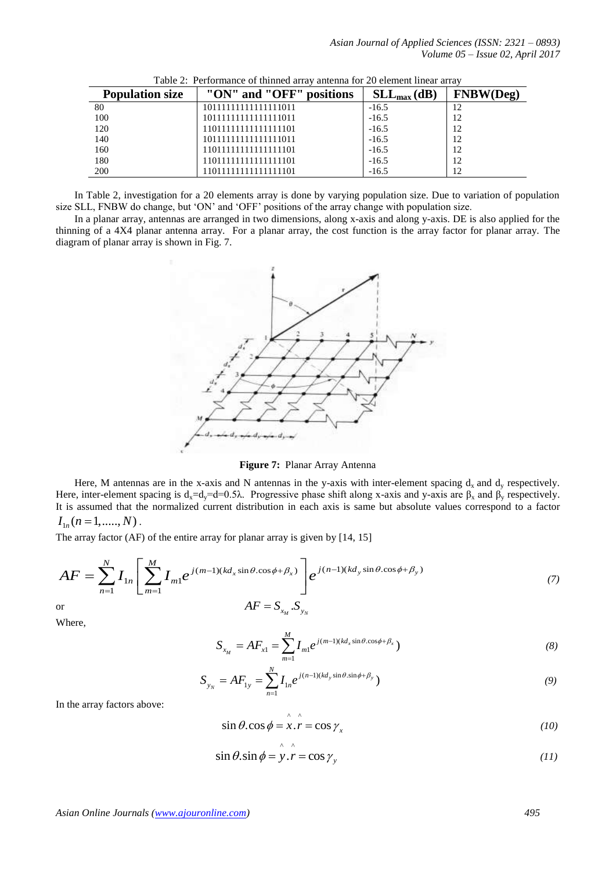| <b>Population size</b> | "ON" and "OFF"<br>positions | $SLL_{max}(dB)$ | <b>FNBW(Deg)</b> |
|------------------------|-----------------------------|-----------------|------------------|
| 80                     | 10111111111111111011        | $-16.5$         |                  |
| 100                    | 10111111111111111011        | $-16.5$         | 12               |
| 120                    | 11011111111111111101        | $-16.5$         | 12               |
| 140                    | 10111111111111111011        | $-16.5$         | 12               |
| 160                    | 11011111111111111101        | $-16.5$         | 12               |
| 180                    | 11011111111111111101        | $-16.5$         | 12               |
| 200                    | 101111111111111101          | $-16.5$         | 12               |

Table 2: Performance of thinned array antenna for 20 element linear array

In Table 2, investigation for a 20 elements array is done by varying population size. Due to variation of population size SLL, FNBW do change, but 'ON' and 'OFF' positions of the array change with population size.

In a planar array, antennas are arranged in two dimensions, along x-axis and along y-axis. DE is also applied for the thinning of a 4X4 planar antenna array. For a planar array, the cost function is the array factor for planar array. The diagram of planar array is shown in Fig. 7.



**Figure 7:** Planar Array Antenna

Here, M antennas are in the x-axis and N antennas in the y-axis with inter-element spacing  $d_x$  and  $d_y$  respectively. Here, inter-element spacing is  $d_x = d_y = d = 0.5\lambda$ . Progressive phase shift along x-axis and y-axis are  $\beta_x$  and  $\beta_y$  respectively. It is assumed that the normalized current distribution in each axis is same but absolute values correspond to a factor  $I_{1n}(n=1,......,N)$ .

It is assumed that the nonmanized center distribution in each axis is same but absolute values correspond to a factor 
$$
I_{1n}(n=1, ..., N)
$$
.  
\nThe array factor (AF) of the entire array for planar array is given by [14, 15]  
\n
$$
AF = \sum_{n=1}^{N} I_{1n} \left[ \sum_{m=1}^{M} I_{m1} e^{j(m-1)(kd_x \sin \theta \cdot \cos \phi + \beta_x)} \right] e^{j(n-1)(kd_y \sin \theta \cdot \cos \phi + \beta_y)}
$$
(7)  
\nor  
\n
$$
AF = S_{x_M} S_{y_N}
$$

or

Where,

$$
S_{x_M} = AF_{x1} = \sum_{m=1}^{M} I_{m1} e^{j(m-1)(kd_x \sin \theta \cdot \cos \phi + \beta_x})
$$
(8)

$$
S_{y_N} = AF_{1y} = \sum_{n=1}^{N} I_{1n} e^{j(n-1)(kd_y \sin \theta \cdot \sin \phi + \beta_y})
$$
(9)

In the array factors above:

$$
\sin \theta \cdot \cos \phi = \hat{x} \cdot \hat{r} = \cos \gamma_x \tag{10}
$$

$$
\sin \theta . \sin \phi = \hat{y} . \hat{r} = \cos \gamma_{y}
$$
 (11)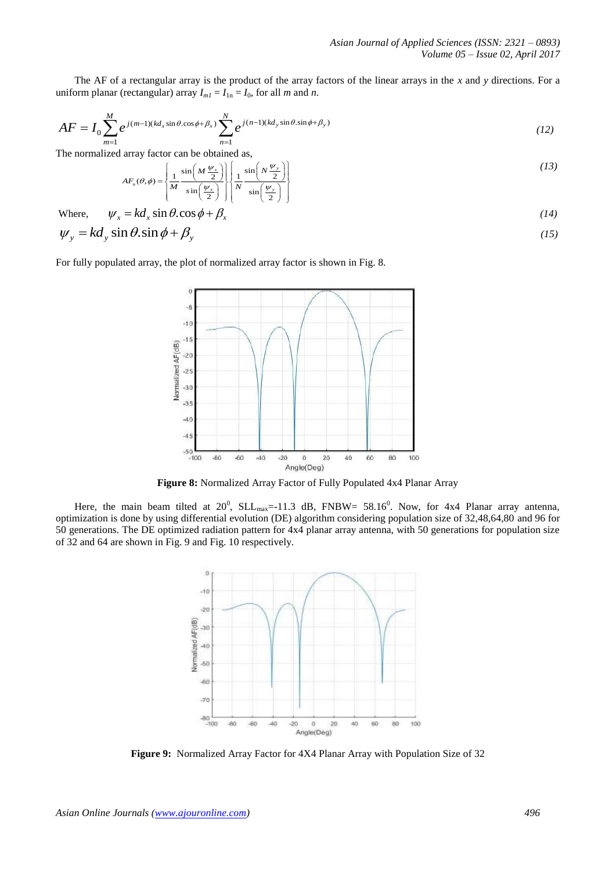uniform planar (rectangular) array  $I_{ml} = I_{1n} = I_0$ , for all *m* and *n*.

The AF of a rectangular array is the product of the array factors of the linear arrays in the x and y directions. For a uniform planar (rectangular) array 
$$
I_{m1} = I_{1n} = I_0
$$
, for all m and n.  
\n
$$
AF = I_0 \sum_{m=1}^{M} e^{j(m-1)(kd_x \sin \theta \cdot \cos \phi + \beta_x)} \sum_{n=1}^{N} e^{j(n-1)(kd_y \sin \theta \cdot \sin \phi + \beta_y)}
$$
\n(12)

The normalized array factor can be obtained as,  

$$
AF_n(\theta, \phi) = \left\{ \frac{1}{M} \frac{\sin\left(M \frac{\psi_x}{2}\right)}{\sin\left(\frac{\psi_x}{2}\right)} \right\} \left\{ \frac{1}{N} \frac{\sin\left(N \frac{\psi_y}{2}\right)}{\sin\left(\frac{\psi_y}{2}\right)} \right\}
$$
(13)

Where,  $\psi_x = kd_x \sin \theta \cdot \cos \phi + \beta_x$  (14)  $\psi_y = kd_y \sin \theta \cdot \sin \phi + \beta_y$  (15)

For fully populated array, the plot of normalized array factor is shown in Fig. 8.



**Figure 8:** Normalized Array Factor of Fully Populated 4x4 Planar Array

Here, the main beam tilted at 20<sup>0</sup>, SLL<sub>max</sub>=-11.3 dB, FNBW= 58.16<sup>0</sup>. Now, for 4x4 Planar array antenna, optimization is done by using differential evolution (DE) algorithm considering population size of 32,48,64,80 and 96 for 50 generations. The DE optimized radiation pattern for 4x4 planar array antenna, with 50 generations for population size of 32 and 64 are shown in Fig. 9 and Fig. 10 respectively.



**Figure 9:** Normalized Array Factor for 4X4 Planar Array with Population Size of 32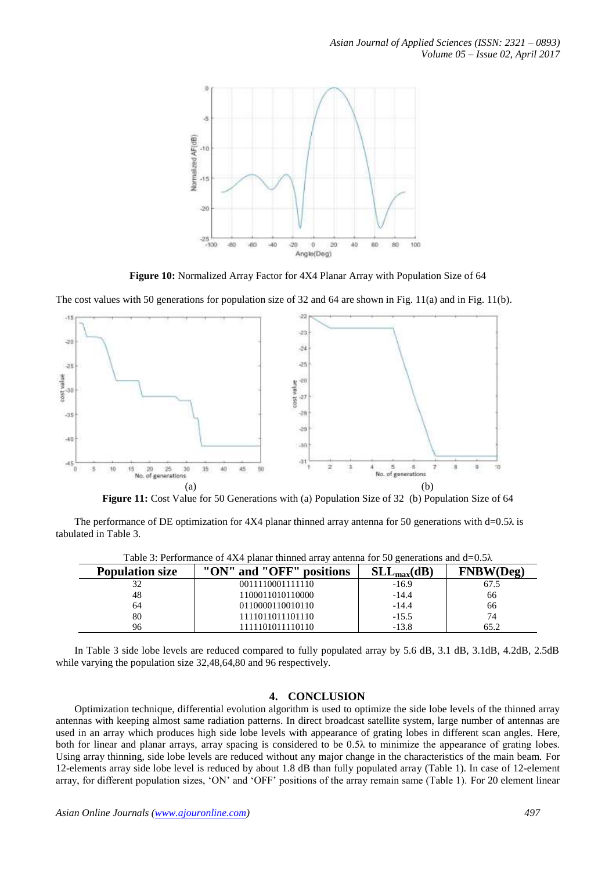

**Figure 10:** Normalized Array Factor for 4X4 Planar Array with Population Size of 64

The cost values with 50 generations for population size of 32 and 64 are shown in Fig. 11(a) and in Fig. 11(b).



**Figure 11:** Cost Value for 50 Generations with (a) Population Size of 32 (b) Population Size of 64

The performance of DE optimization for  $4X4$  planar thinned array antenna for 50 generations with d=0.5 $\lambda$  is tabulated in Table 3.

| Twore $\beta$ , I chromained of $\beta$ is a painting unimous through antenna for $\beta$ of conclusions that $a$ - $0.378$ |                          |                 |           |  |  |
|-----------------------------------------------------------------------------------------------------------------------------|--------------------------|-----------------|-----------|--|--|
| <b>Population size</b>                                                                                                      | "ON" and "OFF" positions | $SLL_{max}(dB)$ | FNBW(Deg) |  |  |
|                                                                                                                             | 0011110001111110         | $-16.9$         | 67.5      |  |  |
| 48                                                                                                                          | 1100011010110000         | $-14.4$         | 66        |  |  |
| 64                                                                                                                          | 0110000110010110         | $-14.4$         | 66        |  |  |
| 80                                                                                                                          | 1111011011101110         | $-15.5$         | 74        |  |  |
| 96                                                                                                                          | 1111101011110110         | $-13.8$         | 65.2      |  |  |

Table 3: Performance of  $4X4$  planar thinned array antenna for 50 generations and d=0.5 $\lambda$ 

In Table 3 side lobe levels are reduced compared to fully populated array by 5.6 dB, 3.1 dB, 3.1dB, 4.2dB, 2.5dB while varying the population size 32,48,64,80 and 96 respectively.

## **4. CONCLUSION**

Optimization technique, differential evolution algorithm is used to optimize the side lobe levels of the thinned array antennas with keeping almost same radiation patterns. In direct broadcast satellite system, large number of antennas are used in an array which produces high side lobe levels with appearance of grating lobes in different scan angles. Here, both for linear and planar arrays, array spacing is considered to be 0.5λ to minimize the appearance of grating lobes. Using array thinning, side lobe levels are reduced without any major change in the characteristics of the main beam. For 12-elements array side lobe level is reduced by about 1.8 dB than fully populated array (Table 1). In case of 12-element array, for different population sizes, 'ON' and 'OFF' positions of the array remain same (Table 1). For 20 element linear